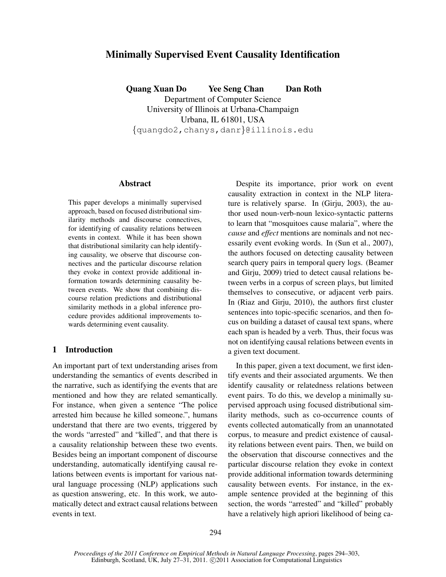# Minimally Supervised Event Causality Identification

Quang Xuan Do Yee Seng Chan Dan Roth Department of Computer Science University of Illinois at Urbana-Champaign Urbana, IL 61801, USA {quangdo2,chanys,danr}@illinois.edu

### Abstract

This paper develops a minimally supervised approach, based on focused distributional similarity methods and discourse connectives, for identifying of causality relations between events in context. While it has been shown that distributional similarity can help identifying causality, we observe that discourse connectives and the particular discourse relation they evoke in context provide additional information towards determining causality between events. We show that combining discourse relation predictions and distributional similarity methods in a global inference procedure provides additional improvements towards determining event causality.

# 1 Introduction

An important part of text understanding arises from understanding the semantics of events described in the narrative, such as identifying the events that are mentioned and how they are related semantically. For instance, when given a sentence "The police arrested him because he killed someone.", humans understand that there are two events, triggered by the words "arrested" and "killed", and that there is a causality relationship between these two events. Besides being an important component of discourse understanding, automatically identifying causal relations between events is important for various natural language processing (NLP) applications such as question answering, etc. In this work, we automatically detect and extract causal relations between events in text.

Despite its importance, prior work on event causality extraction in context in the NLP literature is relatively sparse. In (Girju, 2003), the author used noun-verb-noun lexico-syntactic patterns to learn that "mosquitoes cause malaria", where the *cause* and *effect* mentions are nominals and not necessarily event evoking words. In (Sun et al., 2007), the authors focused on detecting causality between search query pairs in temporal query logs. (Beamer and Girju, 2009) tried to detect causal relations between verbs in a corpus of screen plays, but limited themselves to consecutive, or adjacent verb pairs. In (Riaz and Girju, 2010), the authors first cluster sentences into topic-specific scenarios, and then focus on building a dataset of causal text spans, where each span is headed by a verb. Thus, their focus was not on identifying causal relations between events in a given text document.

In this paper, given a text document, we first identify events and their associated arguments. We then identify causality or relatedness relations between event pairs. To do this, we develop a minimally supervised approach using focused distributional similarity methods, such as co-occurrence counts of events collected automatically from an unannotated corpus, to measure and predict existence of causality relations between event pairs. Then, we build on the observation that discourse connectives and the particular discourse relation they evoke in context provide additional information towards determining causality between events. For instance, in the example sentence provided at the beginning of this section, the words "arrested" and "killed" probably have a relatively high apriori likelihood of being ca-

*Proceedings of the 2011 Conference on Empirical Methods in Natural Language Processing*, pages 294–303, Edinburgh, Scotland, UK, July 27-31, 2011. ©2011 Association for Computational Linguistics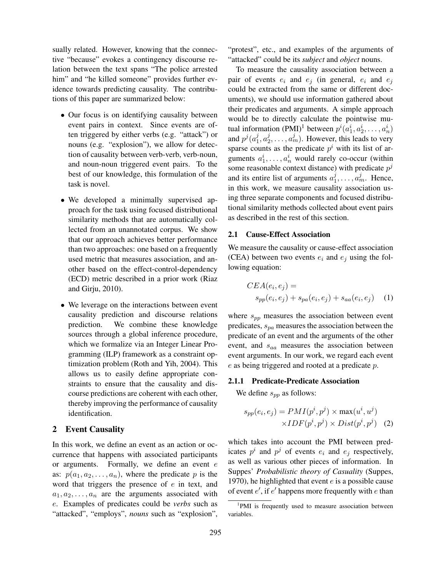sually related. However, knowing that the connective "because" evokes a contingency discourse relation between the text spans "The police arrested him" and "he killed someone" provides further evidence towards predicting causality. The contributions of this paper are summarized below:

- Our focus is on identifying causality between event pairs in context. Since events are often triggered by either verbs (e.g. "attack") or nouns (e.g. "explosion"), we allow for detection of causality between verb-verb, verb-noun, and noun-noun triggered event pairs. To the best of our knowledge, this formulation of the task is novel.
- We developed a minimally supervised approach for the task using focused distributional similarity methods that are automatically collected from an unannotated corpus. We show that our approach achieves better performance than two approaches: one based on a frequently used metric that measures association, and another based on the effect-control-dependency (ECD) metric described in a prior work (Riaz and Girju, 2010).
- We leverage on the interactions between event causality prediction and discourse relations prediction. We combine these knowledge sources through a global inference procedure, which we formalize via an Integer Linear Programming (ILP) framework as a constraint optimization problem (Roth and Yih, 2004). This allows us to easily define appropriate constraints to ensure that the causality and discourse predictions are coherent with each other, thereby improving the performance of causality identification.

### 2 Event Causality

In this work, we define an event as an action or occurrence that happens with associated participants or arguments. Formally, we define an event  $e$ as:  $p(a_1, a_2, \ldots, a_n)$ , where the predicate p is the word that triggers the presence of  $e$  in text, and  $a_1, a_2, \ldots, a_n$  are the arguments associated with e. Examples of predicates could be *verbs* such as "attacked", "employs", *nouns* such as "explosion",

"protest", etc., and examples of the arguments of "attacked" could be its *subject* and *object* nouns.

To measure the causality association between a pair of events  $e_i$  and  $e_j$  (in general,  $e_i$  and  $e_j$ could be extracted from the same or different documents), we should use information gathered about their predicates and arguments. A simple approach would be to directly calculate the pointwise mutual information (PMI)<sup>1</sup> between  $p^i(a_1^i, a_2^i, \dots, a_n^i)$ and  $p^j(a_1^j)$  $j, a_2^j$  $(2^j_2, \ldots, a^j_m)$ . However, this leads to very sparse counts as the predicate  $p^i$  with its list of arguments  $a_1^i, \ldots, a_n^i$  would rarely co-occur (within some reasonable context distance) with predicate  $p^j$ and its entire list of arguments  $a_1^j$  $a_1^j, \ldots, a_m^j$ . Hence, in this work, we measure causality association using three separate components and focused distributional similarity methods collected about event pairs as described in the rest of this section.

#### 2.1 Cause-Effect Association

We measure the causality or cause-effect association (CEA) between two events  $e_i$  and  $e_j$  using the following equation:

$$
CEA(e_i, e_j) =
$$
  
\n
$$
s_{pp}(e_i, e_j) + s_{pa}(e_i, e_j) + s_{aa}(e_i, e_j)
$$
 (1)

where  $s_{pp}$  measures the association between event predicates,  $s_{pa}$  measures the association between the predicate of an event and the arguments of the other event, and  $s_{aa}$  measures the association between event arguments. In our work, we regard each event e as being triggered and rooted at a predicate p.

### 2.1.1 Predicate-Predicate Association

We define  $s_{pp}$  as follows:

$$
s_{pp}(e_i, e_j) = PMI(p^i, p^j) \times \max(u^i, u^j)
$$

$$
\times IDF(p^i, p^j) \times Dist(p^i, p^j)
$$
 (2)

which takes into account the PMI between predicates  $p^i$  and  $p^j$  of events  $e_i$  and  $e_j$  respectively, as well as various other pieces of information. In Suppes' *Probabilistic theory of Casuality* (Suppes, 1970), he highlighted that event  $e$  is a possible cause of event  $e'$ , if  $e'$  happens more frequently with  $e$  than

<sup>&</sup>lt;sup>1</sup>PMI is frequently used to measure association between variables.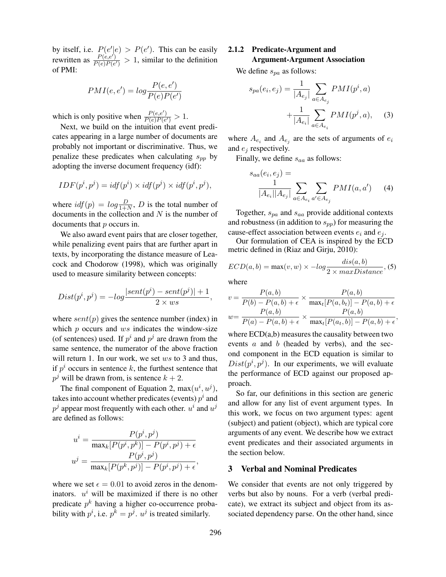by itself, i.e.  $P(e'|e) > P(e')$ . This can be easily rewritten as  $\frac{P(e,e')}{P(e)P(e)}$  $\frac{P(e,e)}{P(e)P(e')} > 1$ , similar to the definition of PMI:

$$
PMI(e, e') = log \frac{P(e, e')}{P(e)P(e')}
$$

which is only positive when  $\frac{P(e,e')}{P(e)P(e)}$  $\frac{F(e,e)}{P(e)P(e')} > 1.$ 

Next, we build on the intuition that event predicates appearing in a large number of documents are probably not important or discriminative. Thus, we penalize these predicates when calculating  $s_{pp}$  by adopting the inverse document frequency (idf):

$$
IDF(p^i, p^j) = idf(p^i) \times idf(p^j) \times idf(p^i, p^j),
$$

where  $\textit{id}f(p) = \log \frac{D}{1+N}$ , D is the total number of documents in the collection and  $N$  is the number of documents that *p* occurs in.

We also award event pairs that are closer together, while penalizing event pairs that are further apart in texts, by incorporating the distance measure of Leacock and Chodorow (1998), which was originally used to measure similarity between concepts:

$$
Dist(p^i, p^j) = -log \frac{|sent(p^i) - sent(p^j)| + 1}{2 \times ws},
$$

where  $sent(p)$  gives the sentence number (index) in which  $p$  occurs and  $ws$  indicates the window-size (of sentences) used. If  $p^i$  and  $p^j$  are drawn from the same sentence, the numerator of the above fraction will return 1. In our work, we set  $ws$  to 3 and thus, if  $p<sup>i</sup>$  occurs in sentence k, the furthest sentence that  $p^j$  will be drawn from, is sentence  $k + 2$ .

The final component of Equation 2,  $max(u^i, u^j)$ , takes into account whether predicates (events)  $p^i$  and  $p^j$  appear most frequently with each other.  $u^i$  and  $u^j$ are defined as follows:

$$
u^{i} = \frac{P(p^{i}, p^{j})}{\max_{k} [P(p^{i}, p^{k})] - P(p^{i}, p^{j}) + \epsilon}
$$

$$
u^{j} = \frac{P(p^{i}, p^{j})}{\max_{k} [P(p^{k}, p^{j})] - P(p^{i}, p^{j}) + \epsilon},
$$

where we set  $\epsilon = 0.01$  to avoid zeros in the denominators.  $u^i$  will be maximized if there is no other predicate  $p^k$  having a higher co-occurrence probability with  $p^i$ , i.e.  $p^k = p^j$ .  $u^j$  is treated similarly.

# 2.1.2 Predicate-Argument and

# Argument-Argument Association

We define  $s_{pa}$  as follows:

$$
s_{pa}(e_i, e_j) = \frac{1}{|A_{e_j}|} \sum_{a \in A_{e_j}} PMI(p^i, a)
$$

$$
+ \frac{1}{|A_{e_i}|} \sum_{a \in A_{e_i}} PMI(p^j, a), \quad (3)
$$

where  $A_{e_i}$  and  $A_{e_j}$  are the sets of arguments of  $e_i$ and  $e_i$  respectively.

Finally, we define  $s_{aa}$  as follows:

$$
s_{aa}(e_i, e_j) = \frac{1}{|A_{e_i}||A_{e_j}|} \sum_{a \in A_{e_i}} \sum_{a' \in A_{e_j}} PMI(a, a') \tag{4}
$$

Together,  $s_{pa}$  and  $s_{aa}$  provide additional contexts and robustness (in addition to  $s_{pp}$ ) for measuring the cause-effect association between events  $e_i$  and  $e_j$ .

Our formulation of CEA is inspired by the ECD metric defined in (Riaz and Girju, 2010):

$$
ECD(a, b) = \max(v, w) \times -log \frac{dis(a, b)}{2 \times maxDistance}, (5)
$$

where

$$
v = \frac{P(a,b)}{P(b) - P(a,b) + \epsilon} \times \frac{P(a,b)}{\max_t [P(a,b_t)] - P(a,b) + \epsilon}
$$

$$
w = \frac{P(a,b)}{P(a) - P(a,b) + \epsilon} \times \frac{P(a,b)}{\max_t [P(a,t,b)] - P(a,b) + \epsilon},
$$

where ECD(a,b) measures the causality between two events  $a$  and  $b$  (headed by verbs), and the second component in the ECD equation is similar to  $Dist(p^i, p^j)$ . In our experiments, we will evaluate the performance of ECD against our proposed approach.

So far, our definitions in this section are generic and allow for any list of event argument types. In this work, we focus on two argument types: agent (subject) and patient (object), which are typical core arguments of any event. We describe how we extract event predicates and their associated arguments in the section below.

### 3 Verbal and Nominal Predicates

We consider that events are not only triggered by verbs but also by nouns. For a verb (verbal predicate), we extract its subject and object from its associated dependency parse. On the other hand, since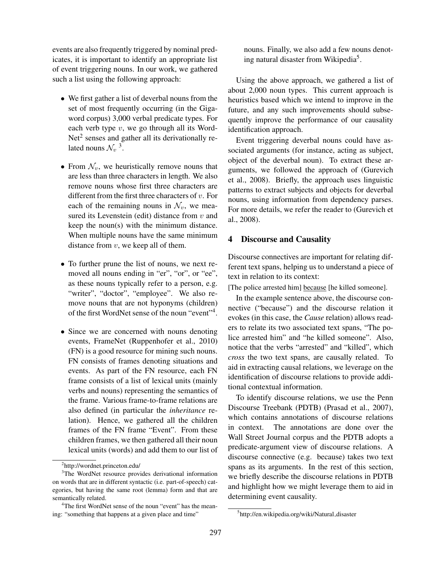events are also frequently triggered by nominal predicates, it is important to identify an appropriate list of event triggering nouns. In our work, we gathered such a list using the following approach:

- We first gather a list of deverbal nouns from the set of most frequently occurring (in the Gigaword corpus) 3,000 verbal predicate types. For each verb type  $v$ , we go through all its Word-Net<sup>2</sup> senses and gather all its derivationally related nouns  $\mathcal{N}_v$ <sup>3</sup>.
- From  $\mathcal{N}_v$ , we heuristically remove nouns that are less than three characters in length. We also remove nouns whose first three characters are different from the first three characters of  $v$ . For each of the remaining nouns in  $\mathcal{N}_v$ , we measured its Levenstein (edit) distance from  $v$  and keep the noun(s) with the minimum distance. When multiple nouns have the same minimum distance from  $v$ , we keep all of them.
- To further prune the list of nouns, we next removed all nouns ending in "er", "or", or "ee", as these nouns typically refer to a person, e.g. "writer", "doctor", "employee". We also remove nouns that are not hyponyms (children) of the first WordNet sense of the noun "event"<sup>4</sup> .
- Since we are concerned with nouns denoting events, FrameNet (Ruppenhofer et al., 2010) (FN) is a good resource for mining such nouns. FN consists of frames denoting situations and events. As part of the FN resource, each FN frame consists of a list of lexical units (mainly verbs and nouns) representing the semantics of the frame. Various frame-to-frame relations are also defined (in particular the *inheritance* relation). Hence, we gathered all the children frames of the FN frame "Event". From these children frames, we then gathered all their noun lexical units (words) and add them to our list of

nouns. Finally, we also add a few nouns denoting natural disaster from Wikipedia<sup>5</sup>.

Using the above approach, we gathered a list of about 2,000 noun types. This current approach is heuristics based which we intend to improve in the future, and any such improvements should subsequently improve the performance of our causality identification approach.

Event triggering deverbal nouns could have associated arguments (for instance, acting as subject, object of the deverbal noun). To extract these arguments, we followed the approach of (Gurevich et al., 2008). Briefly, the approach uses linguistic patterns to extract subjects and objects for deverbal nouns, using information from dependency parses. For more details, we refer the reader to (Gurevich et al., 2008).

### 4 Discourse and Causality

Discourse connectives are important for relating different text spans, helping us to understand a piece of text in relation to its context:

[The police arrested him] because [he killed someone].

In the example sentence above, the discourse connective ("because") and the discourse relation it evokes (in this case, the *Cause* relation) allows readers to relate its two associated text spans, "The police arrested him" and "he killed someone". Also, notice that the verbs "arrested" and "killed", which *cross* the two text spans, are causally related. To aid in extracting causal relations, we leverage on the identification of discourse relations to provide additional contextual information.

To identify discourse relations, we use the Penn Discourse Treebank (PDTB) (Prasad et al., 2007), which contains annotations of discourse relations in context. The annotations are done over the Wall Street Journal corpus and the PDTB adopts a predicate-argument view of discourse relations. A discourse connective (e.g. because) takes two text spans as its arguments. In the rest of this section, we briefly describe the discourse relations in PDTB and highlight how we might leverage them to aid in determining event causality.

<sup>2</sup> http://wordnet.princeton.edu/

<sup>&</sup>lt;sup>3</sup>The WordNet resource provides derivational information on words that are in different syntactic (i.e. part-of-speech) categories, but having the same root (lemma) form and that are semantically related.

<sup>&</sup>lt;sup>4</sup>The first WordNet sense of the noun "event" has the meaning: "something that happens at a given place and time"

<sup>&</sup>lt;sup>5</sup>http://en.wikipedia.org/wiki/Natural\_disaster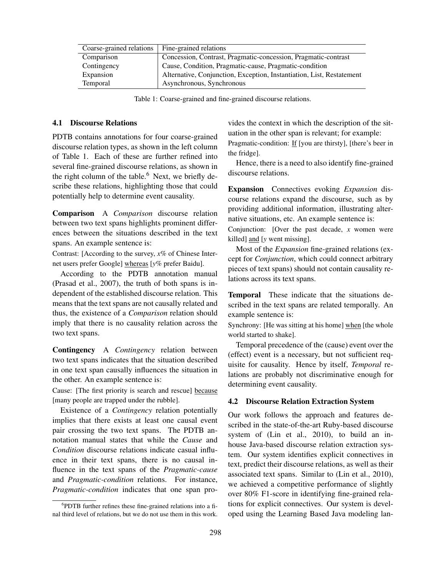| Coarse-grained relations | Fine-grained relations                                                |
|--------------------------|-----------------------------------------------------------------------|
| Comparison               | Concession, Contrast, Pragmatic-concession, Pragmatic-contrast        |
| Contingency              | Cause, Condition, Pragmatic-cause, Pragmatic-condition                |
| Expansion                | Alternative, Conjunction, Exception, Instantiation, List, Restatement |
| <b>Temporal</b>          | Asynchronous, Synchronous                                             |

Table 1: Coarse-grained and fine-grained discourse relations.

#### 4.1 Discourse Relations

PDTB contains annotations for four coarse-grained discourse relation types, as shown in the left column of Table 1. Each of these are further refined into several fine-grained discourse relations, as shown in the right column of the table. $6$  Next, we briefly describe these relations, highlighting those that could potentially help to determine event causality.

Comparison A *Comparison* discourse relation between two text spans highlights prominent differences between the situations described in the text spans. An example sentence is:

Contrast: [According to the survey, *x%* of Chinese Internet users prefer Google] whereas [*y%* prefer Baidu].

According to the PDTB annotation manual (Prasad et al., 2007), the truth of both spans is independent of the established discourse relation. This means that the text spans are not causally related and thus, the existence of a *Comparison* relation should imply that there is no causality relation across the two text spans.

Contingency A *Contingency* relation between two text spans indicates that the situation described in one text span causally influences the situation in the other. An example sentence is:

Cause: [The first priority is search and rescue] because [many people are trapped under the rubble].

Existence of a *Contingency* relation potentially implies that there exists at least one causal event pair crossing the two text spans. The PDTB annotation manual states that while the *Cause* and *Condition* discourse relations indicate casual influence in their text spans, there is no causal influence in the text spans of the *Pragmatic-cause* and *Pragmatic-condition* relations. For instance, *Pragmatic-condition* indicates that one span provides the context in which the description of the situation in the other span is relevant; for example: Pragmatic-condition: If [you are thirsty], [there's beer in the fridge].

Hence, there is a need to also identify fine-grained discourse relations.

Expansion Connectives evoking *Expansion* discourse relations expand the discourse, such as by providing additional information, illustrating alternative situations, etc. An example sentence is:

Conjunction: [Over the past decade, *x* women were killed] and [*y* went missing].

Most of the *Expansion* fine-grained relations (except for *Conjunction*, which could connect arbitrary pieces of text spans) should not contain causality relations across its text spans.

Temporal These indicate that the situations described in the text spans are related temporally. An example sentence is:

Synchrony: [He was sitting at his home] when [the whole world started to shake].

Temporal precedence of the (cause) event over the (effect) event is a necessary, but not sufficient requisite for causality. Hence by itself, *Temporal* relations are probably not discriminative enough for determining event causality.

#### 4.2 Discourse Relation Extraction System

Our work follows the approach and features described in the state-of-the-art Ruby-based discourse system of (Lin et al., 2010), to build an inhouse Java-based discourse relation extraction system. Our system identifies explicit connectives in text, predict their discourse relations, as well as their associated text spans. Similar to (Lin et al., 2010), we achieved a competitive performance of slightly over 80% F1-score in identifying fine-grained relations for explicit connectives. Our system is developed using the Learning Based Java modeling lan-

<sup>6</sup> PDTB further refines these fine-grained relations into a final third level of relations, but we do not use them in this work.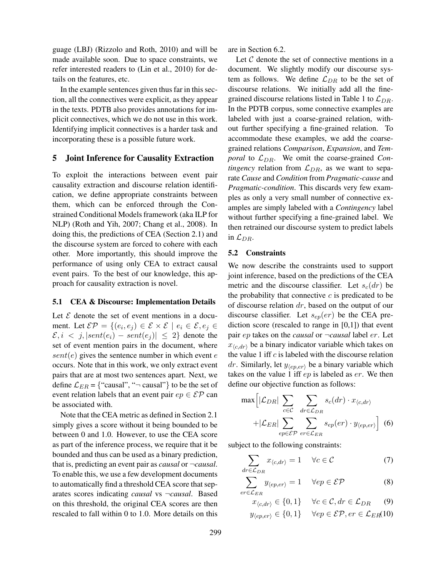guage (LBJ) (Rizzolo and Roth, 2010) and will be made available soon. Due to space constraints, we refer interested readers to (Lin et al., 2010) for details on the features, etc.

In the example sentences given thus far in this section, all the connectives were explicit, as they appear in the texts. PDTB also provides annotations for implicit connectives, which we do not use in this work. Identifying implicit connectives is a harder task and incorporating these is a possible future work.

### 5 Joint Inference for Causality Extraction

To exploit the interactions between event pair causality extraction and discourse relation identification, we define appropriate constraints between them, which can be enforced through the Constrained Conditional Models framework (aka ILP for NLP) (Roth and Yih, 2007; Chang et al., 2008). In doing this, the predictions of CEA (Section 2.1) and the discourse system are forced to cohere with each other. More importantly, this should improve the performance of using only CEA to extract causal event pairs. To the best of our knowledge, this approach for causality extraction is novel.

### 5.1 CEA & Discourse: Implementation Details

Let  $\mathcal E$  denote the set of event mentions in a document. Let  $\mathcal{EP} = \{(e_i, e_j) \in \mathcal{E} \times \mathcal{E} \mid e_i \in \mathcal{E}, e_j \in \mathcal{E}\}$  $\mathcal{E}, i \leq j, |sent(e_i) - sent(e_j)| \leq 2$  denote the set of event mention pairs in the document, where  $sent(e)$  gives the sentence number in which event  $e$ occurs. Note that in this work, we only extract event pairs that are at most two sentences apart. Next, we define  $\mathcal{L}_{ER}$  = {"causal", " $\neg$  causal"} to be the set of event relation labels that an event pair  $ep \in \mathcal{EP}$  can be associated with.

Note that the CEA metric as defined in Section 2.1 simply gives a score without it being bounded to be between 0 and 1.0. However, to use the CEA score as part of the inference process, we require that it be bounded and thus can be used as a binary prediction, that is, predicting an event pair as *causal* or ¬*causal*. To enable this, we use a few development documents to automatically find a threshold CEA score that separates scores indicating *causal* vs ¬*causal*. Based on this threshold, the original CEA scores are then rescaled to fall within 0 to 1.0. More details on this are in Section 6.2.

Let  $C$  denote the set of connective mentions in a document. We slightly modify our discourse system as follows. We define  $\mathcal{L}_{DR}$  to be the set of discourse relations. We initially add all the finegrained discourse relations listed in Table 1 to  $\mathcal{L}_{DR}$ . In the PDTB corpus, some connective examples are labeled with just a coarse-grained relation, without further specifying a fine-grained relation. To accommodate these examples, we add the coarsegrained relations *Comparison*, *Expansion*, and *Temporal* to  $\mathcal{L}_{DR}$ . We omit the coarse-grained *Contingency* relation from  $\mathcal{L}_{DR}$ , as we want to separate *Cause* and *Condition* from *Pragmatic-cause* and *Pragmatic-condition*. This discards very few examples as only a very small number of connective examples are simply labeled with a *Contingency* label without further specifying a fine-grained label. We then retrained our discourse system to predict labels in  $\mathcal{L}_{DR}$ .

#### 5.2 Constraints

We now describe the constraints used to support joint inference, based on the predictions of the CEA metric and the discourse classifier. Let  $s_c(dr)$  be the probability that connective  $c$  is predicated to be of discourse relation  $dr$ , based on the output of our discourse classifier. Let  $s_{ep}(er)$  be the CEA prediction score (rescaled to range in [0,1]) that event pair ep takes on the *causal* or ¬*causal* label er. Let  $x_{\langle c,dr \rangle}$  be a binary indicator variable which takes on the value 1 iff  $c$  is labeled with the discourse relation dr. Similarly, let  $y_{\langle ep, er \rangle}$  be a binary variable which takes on the value 1 iff  $ep$  is labeled as  $er$ . We then define our objective function as follows:

$$
\max\left[|\mathcal{L}_{DR}| \sum_{c \in \mathcal{C}} \sum_{dr \in \mathcal{L}_{DR}} s_c(dr) \cdot x_{\langle c, dr \rangle} + |\mathcal{L}_{ER}| \sum_{ep \in \mathcal{E}P} \sum_{er \in \mathcal{L}_{ER}} s_{ep}(er) \cdot y_{\langle ep, er \rangle}\right] (6)
$$

subject to the following constraints:

$$
\sum_{dr \in \mathcal{L}_{DR}} x_{\langle c, dr \rangle} = 1 \quad \forall c \in \mathcal{C}
$$
 (7)

$$
\sum_{er \in \mathcal{L}_{ER}} y_{\langle ep, er \rangle} = 1 \quad \forall ep \in \mathcal{EP}
$$
 (8)

$$
x_{\langle c, dr \rangle} \in \{0, 1\} \quad \forall c \in \mathcal{C}, dr \in \mathcal{L}_{DR} \tag{9}
$$
  

$$
y_{\langle ep, er \rangle} \in \{0, 1\} \quad \forall ep \in \mathcal{EP}, er \in \mathcal{L}_{ER}(10)
$$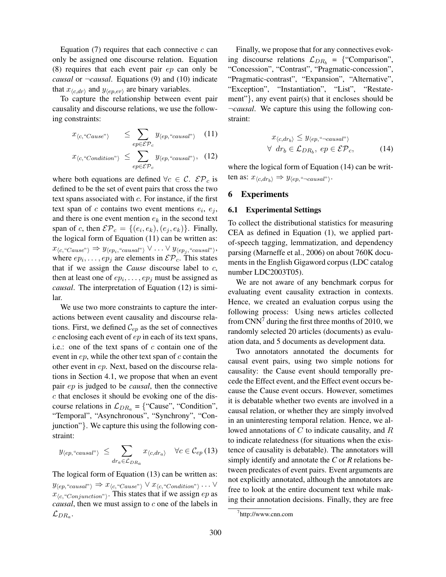Equation  $(7)$  requires that each connective c can only be assigned one discourse relation. Equation (8) requires that each event pair ep can only be *causal* or ¬*causal*. Equations (9) and (10) indicate that  $x_{\langle c, dr \rangle}$  and  $y_{\langle ep, er \rangle}$  are binary variables.

To capture the relationship between event pair causality and discourse relations, we use the following constraints:

$$
x_{\langle c, \text{``Cause''}\rangle} \le \sum_{ep \in \mathcal{EP}_c} y_{\langle ep, \text{``causal''}\rangle} \quad (11)
$$
  

$$
x_{\langle c, \text{``Condition''}\rangle} \le \sum_{ep \in \mathcal{EP}_c} y_{\langle ep, \text{``causal''}\rangle}, \quad (12)
$$

where both equations are defined  $\forall c \in C$ .  $\mathcal{E} \mathcal{P}_c$  is defined to be the set of event pairs that cross the two text spans associated with  $c$ . For instance, if the first text span of c contains two event mentions  $e_i$ ,  $e_j$ , and there is one event mention  $e_k$  in the second text span of c, then  $\mathcal{EP}_c = \{(e_i, e_k), (e_j, e_k)\}\$ . Finally, the logical form of Equation (11) can be written as:  $x_{\langle c, \text{``Case"}\rangle} \Rightarrow y_{\langle ep_i, \text{``causal"}\rangle} \vee \ldots \vee y_{\langle ep_j, \text{``causal"}\rangle},$ where  $ep_i, \ldots, ep_j$  are elements in  $\mathcal{EP}_c$ . This states that if we assign the *Cause* discourse label to c, then at least one of  $ep_i, \ldots, ep_j$  must be assigned as *causal*. The interpretation of Equation (12) is similar.

We use two more constraints to capture the interactions between event causality and discourse relations. First, we defined  $\mathcal{C}_{ep}$  as the set of connectives  $c$  enclosing each event of  $ep$  in each of its text spans, i.e.: one of the text spans of  $c$  contain one of the event in  $ep$ , while the other text span of  $c$  contain the other event in ep. Next, based on the discourse relations in Section 4.1, we propose that when an event pair ep is judged to be *causal*, then the connective c that encloses it should be evoking one of the discourse relations in  $\mathcal{L}_{DR_a}$  = {"Cause", "Condition", "Temporal", "Asynchronous", "Synchrony", "Conjunction"}. We capture this using the following constraint:

$$
y_{\langle ep, \text{``causal''}\rangle} \leq \sum_{dr_a \in \mathcal{L}_{DR_a}} x_{\langle c, dr_a \rangle} \quad \forall c \in \mathcal{C}_{ep} (13)
$$

The logical form of Equation (13) can be written as:  $y_{\langle ep, "causal"}\rangle \Rightarrow x_{\langle c, "Cause"}\rangle} \vee x_{\langle c, "Condition"}\rangle \dots \vee$  $x_{\langle c, \text{``Conjunction''}\rangle}$ . This states that if we assign  $ep$  as *causal*, then we must assign to c one of the labels in  $\mathcal{L}_{DR_a}.$ 

Finally, we propose that for any connectives evoking discourse relations  $\mathcal{L}_{DR_b} = \{$  "Comparison", "Concession", "Contrast", "Pragmatic-concession", "Pragmatic-contrast", "Expansion", "Alternative", "Exception", "Instantiation", "List", "Restatement"}, any event pair(s) that it encloses should be ¬*causal*. We capture this using the following constraint:

$$
x_{\langle c, dr_b \rangle} \le y_{\langle ep, \text{``-causal''} \rangle}
$$
  

$$
\forall \ dr_b \in \mathcal{L}_{DR_b}, \ ep \in \mathcal{EP}_c,
$$
 (14)

where the logical form of Equation (14) can be written as:  $x_{\langle c, dr_b \rangle} \Rightarrow y_{\langle ep, ``\neg causal"} \rangle$ .

### 6 Experiments

#### 6.1 Experimental Settings

To collect the distributional statistics for measuring CEA as defined in Equation (1), we applied partof-speech tagging, lemmatization, and dependency parsing (Marneffe et al., 2006) on about 760K documents in the English Gigaword corpus (LDC catalog number LDC2003T05).

We are not aware of any benchmark corpus for evaluating event causality extraction in contexts. Hence, we created an evaluation corpus using the following process: Using news articles collected from  $CNN<sup>7</sup>$  during the first three months of 2010, we randomly selected 20 articles (documents) as evaluation data, and 5 documents as development data.

Two annotators annotated the documents for causal event pairs, using two simple notions for causality: the Cause event should temporally precede the Effect event, and the Effect event occurs because the Cause event occurs. However, sometimes it is debatable whether two events are involved in a causal relation, or whether they are simply involved in an uninteresting temporal relation. Hence, we allowed annotations of C to indicate causality, and R to indicate relatedness (for situations when the existence of causality is debatable). The annotators will simply identify and annotate the *C* or *R* relations between predicates of event pairs. Event arguments are not explicitly annotated, although the annotators are free to look at the entire document text while making their annotation decisions. Finally, they are free

<sup>7</sup> http://www.cnn.com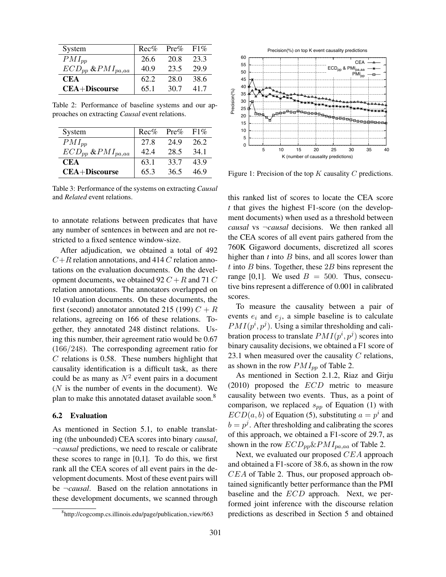| System                     | $Rec\%$ | $Pre\%$ | $F1\%$ |
|----------------------------|---------|---------|--------|
| $PMI_{pp}$                 | 26.6    | 20.8    | 23.3   |
| $ECD_{pp}$ & $PMI_{pa,aa}$ | 40.9    | 23.5    | 29.9   |
| <b>CEA</b>                 | 62.2    | 28.0    | 38.6   |
| $CEA+Discourse$            | 65.1    | 30.7    | 417    |

Table 2: Performance of baseline systems and our approaches on extracting *Causal* event relations.

| System                     | $Rec\%$ | $Pre\%$ | $F1\%$ |
|----------------------------|---------|---------|--------|
| $PMI_{pp}$                 | 27.8    | 24.9    | 26.2   |
| $ECD_{pp}$ & $PMI_{pa,aa}$ | 42.4    | 28.5    | 34 1   |
| <b>CEA</b>                 | 63.1    | 33.7    | 43.9   |
| <b>CEA+Discourse</b>       | 65.3    | 36.5    | 46.9   |

Table 3: Performance of the systems on extracting *Causal* and *Related* event relations.

to annotate relations between predicates that have any number of sentences in between and are not restricted to a fixed sentence window-size.

After adjudication, we obtained a total of 492  $C+R$  relation annotations, and 414 C relation annotations on the evaluation documents. On the development documents, we obtained 92  $C + R$  and 71  $C$ relation annotations. The annotators overlapped on 10 evaluation documents. On these documents, the first (second) annotator annotated 215 (199)  $C + R$ relations, agreeing on 166 of these relations. Together, they annotated 248 distinct relations. Using this number, their agreement ratio would be 0.67 (166/248). The corresponding agreement ratio for  $C$  relations is 0.58. These numbers highlight that causality identification is a difficult task, as there could be as many as  $N^2$  event pairs in a document  $(N$  is the number of events in the document). We plan to make this annotated dataset available soon.<sup>8</sup>

### 6.2 Evaluation

As mentioned in Section 5.1, to enable translating (the unbounded) CEA scores into binary *causal*, ¬*causal* predictions, we need to rescale or calibrate these scores to range in  $[0,1]$ . To do this, we first rank all the CEA scores of all event pairs in the development documents. Most of these event pairs will be ¬*causal*. Based on the relation annotations in these development documents, we scanned through



Figure 1: Precision of the top  $K$  causality  $C$  predictions.

this ranked list of scores to locate the CEA score *t* that gives the highest F1-score (on the development documents) when used as a threshold between *causal* vs ¬*causal* decisions. We then ranked all the CEA scores of all event pairs gathered from the 760K Gigaword documents, discretized all scores higher than *t* into *B* bins, and all scores lower than t into B bins. Together, these  $2B$  bins represent the range [0,1]. We used  $B = 500$ . Thus, consecutive bins represent a difference of 0.001 in calibrated scores.

To measure the causality between a pair of events  $e_i$  and  $e_j$ , a simple baseline is to calculate  $PMI(p^i, p^j)$ . Using a similar thresholding and calibration process to translate  $PMI(p^i, p^j)$  scores into binary causality decisions, we obtained a F1 score of 23.1 when measured over the causality  $C$  relations, as shown in the row  $PMI_{pp}$  of Table 2.

As mentioned in Section 2.1.2, Riaz and Girju  $(2010)$  proposed the  $ECD$  metric to measure causality between two events. Thus, as a point of comparison, we replaced  $s_{pp}$  of Equation (1) with  $ECD(a, b)$  of Equation (5), substituting  $a = p<sup>i</sup>$  and  $b = p<sup>j</sup>$ . After thresholding and calibrating the scores of this approach, we obtained a F1-score of 29.7, as shown in the row  $ECD_{pp} \& PMI_{pa,aa}$  of Table 2.

Next, we evaluated our proposed  $CEA$  approach and obtained a F1-score of 38.6, as shown in the row CEA of Table 2. Thus, our proposed approach obtained significantly better performance than the PMI baseline and the ECD approach. Next, we performed joint inference with the discourse relation predictions as described in Section 5 and obtained

<sup>8</sup> http://cogcomp.cs.illinois.edu/page/publication view/663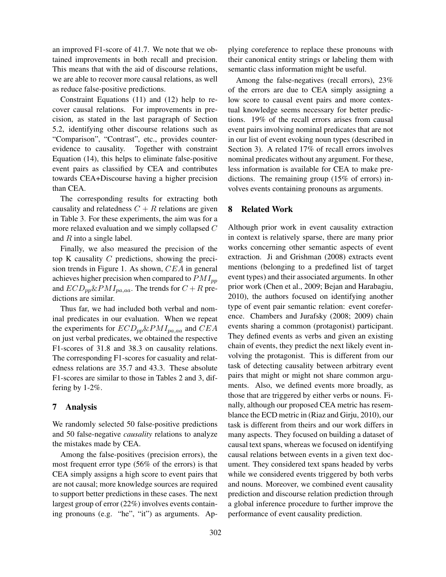an improved F1-score of 41.7. We note that we obtained improvements in both recall and precision. This means that with the aid of discourse relations, we are able to recover more causal relations, as well as reduce false-positive predictions.

Constraint Equations (11) and (12) help to recover causal relations. For improvements in precision, as stated in the last paragraph of Section 5.2, identifying other discourse relations such as "Comparison", "Contrast", etc., provides counterevidence to causality. Together with constraint Equation (14), this helps to eliminate false-positive event pairs as classified by CEA and contributes towards CEA+Discourse having a higher precision than CEA.

The corresponding results for extracting both causality and relatedness  $C + R$  relations are given in Table 3. For these experiments, the aim was for a more relaxed evaluation and we simply collapsed C and  $R$  into a single label.

Finally, we also measured the precision of the top K causality  $C$  predictions, showing the precision trends in Figure 1. As shown, CEA in general achieves higher precision when compared to  $PMI_{pp}$ and  $ECD_{pp} \& PMI_{pa,aa}$ . The trends for  $C + R$  predictions are similar.

Thus far, we had included both verbal and nominal predicates in our evaluation. When we repeat the experiments for  $ECD_{pp} \& PMI_{pa,aa}$  and  $CEA$ on just verbal predicates, we obtained the respective F1-scores of 31.8 and 38.3 on causality relations. The corresponding F1-scores for casuality and relatedness relations are 35.7 and 43.3. These absolute F1-scores are similar to those in Tables 2 and 3, differing by 1-2%.

### 7 Analysis

We randomly selected 50 false-positive predictions and 50 false-negative *causality* relations to analyze the mistakes made by CEA.

Among the false-positives (precision errors), the most frequent error type (56% of the errors) is that CEA simply assigns a high score to event pairs that are not causal; more knowledge sources are required to support better predictions in these cases. The next largest group of error (22%) involves events containing pronouns (e.g. "he", "it") as arguments. Applying coreference to replace these pronouns with their canonical entity strings or labeling them with semantic class information might be useful.

Among the false-negatives (recall errors), 23% of the errors are due to CEA simply assigning a low score to causal event pairs and more contextual knowledge seems necessary for better predictions. 19% of the recall errors arises from causal event pairs involving nominal predicates that are not in our list of event evoking noun types (described in Section 3). A related 17% of recall errors involves nominal predicates without any argument. For these, less information is available for CEA to make predictions. The remaining group (15% of errors) involves events containing pronouns as arguments.

### 8 Related Work

Although prior work in event causality extraction in context is relatively sparse, there are many prior works concerning other semantic aspects of event extraction. Ji and Grishman (2008) extracts event mentions (belonging to a predefined list of target event types) and their associated arguments. In other prior work (Chen et al., 2009; Bejan and Harabagiu, 2010), the authors focused on identifying another type of event pair semantic relation: event coreference. Chambers and Jurafsky (2008; 2009) chain events sharing a common (protagonist) participant. They defined events as verbs and given an existing chain of events, they predict the next likely event involving the protagonist. This is different from our task of detecting causality between arbitrary event pairs that might or might not share common arguments. Also, we defined events more broadly, as those that are triggered by either verbs or nouns. Finally, although our proposed CEA metric has resemblance the ECD metric in (Riaz and Girju, 2010), our task is different from theirs and our work differs in many aspects. They focused on building a dataset of causal text spans, whereas we focused on identifying causal relations between events in a given text document. They considered text spans headed by verbs while we considered events triggered by both verbs and nouns. Moreover, we combined event causality prediction and discourse relation prediction through a global inference procedure to further improve the performance of event causality prediction.